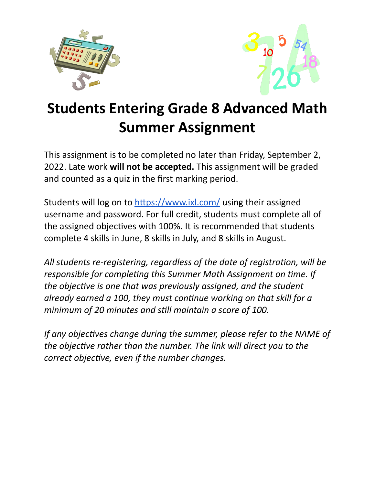



## **Students Entering Grade 8 Advanced Math Summer Assignment**

This assignment is to be completed no later than Friday, September 2, 2022. Late work **will not be accepted.** This assignment will be graded and counted as a quiz in the first marking period.

Students will log on to https://www.ixl.com/ using their assigned username and password. For full credit, students must complete all of the assigned objectives with 100%. It is recommended that students complete 4 skills in June, 8 skills in July, and 8 skills in August.

All students re-registering, regardless of the date of registration, will be *responsible for completing this Summer Math Assignment on time. If the objective is one that was previously assigned,* and *the student already earned a 100, they must connue working on that skill for a minimum of 20 minutes and sll maintain a score of 100.*

*If any objectives change during the summer, please refer to the NAME of the objective rather than the number. The link will direct you to the correct objective, even if the number changes.*